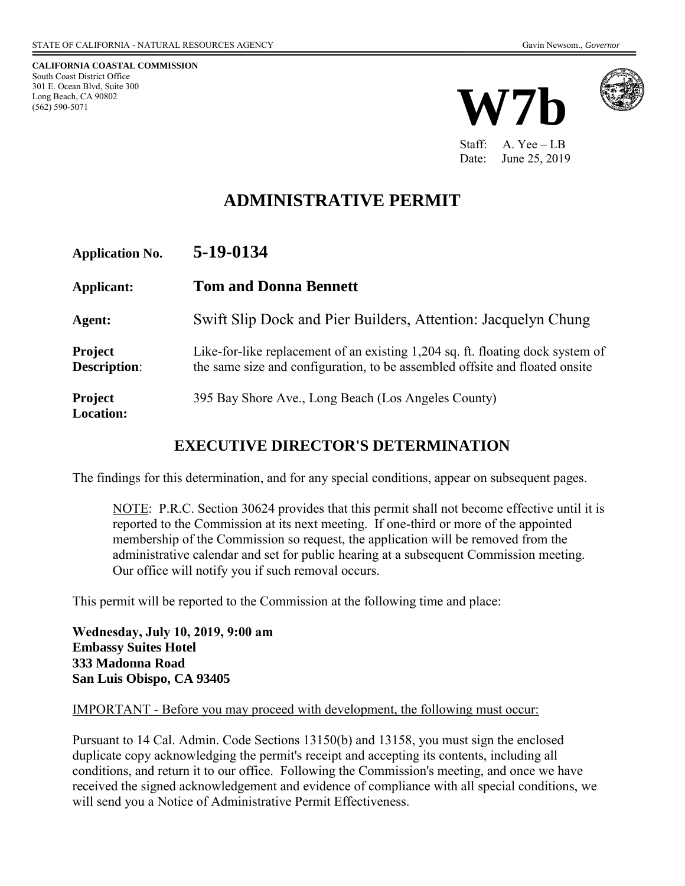**CALIFORNIA COASTAL COMMISSION**  South Coast District Office 301 E. Ocean Blvd, Suite 300 Long Beach, CA 90802 (562) 590-5071





Staff: A. Yee – LB Date: June 25, 2019

# **ADMINISTRATIVE PERMIT**

| <b>Application No.</b>                | 5-19-0134                                                                                                                                                     |
|---------------------------------------|---------------------------------------------------------------------------------------------------------------------------------------------------------------|
| Applicant:                            | <b>Tom and Donna Bennett</b>                                                                                                                                  |
| Agent:                                | Swift Slip Dock and Pier Builders, Attention: Jacquelyn Chung                                                                                                 |
| <b>Project</b><br><b>Description:</b> | Like-for-like replacement of an existing 1,204 sq. ft. floating dock system of<br>the same size and configuration, to be assembled offsite and floated onsite |
| <b>Project</b><br><b>Location:</b>    | 395 Bay Shore Ave., Long Beach (Los Angeles County)                                                                                                           |

## **EXECUTIVE DIRECTOR'S DETERMINATION**

The findings for this determination, and for any special conditions, appear on subsequent pages.

NOTE: P.R.C. Section 30624 provides that this permit shall not become effective until it is reported to the Commission at its next meeting. If one-third or more of the appointed membership of the Commission so request, the application will be removed from the administrative calendar and set for public hearing at a subsequent Commission meeting. Our office will notify you if such removal occurs.

This permit will be reported to the Commission at the following time and place:

**Wednesday, July 10, 2019, 9:00 am Embassy Suites Hotel 333 Madonna Road San Luis Obispo, CA 93405** 

#### IMPORTANT - Before you may proceed with development, the following must occur:

Pursuant to 14 Cal. Admin. Code Sections 13150(b) and 13158, you must sign the enclosed duplicate copy acknowledging the permit's receipt and accepting its contents, including all conditions, and return it to our office. Following the Commission's meeting, and once we have received the signed acknowledgement and evidence of compliance with all special conditions, we will send you a Notice of Administrative Permit Effectiveness.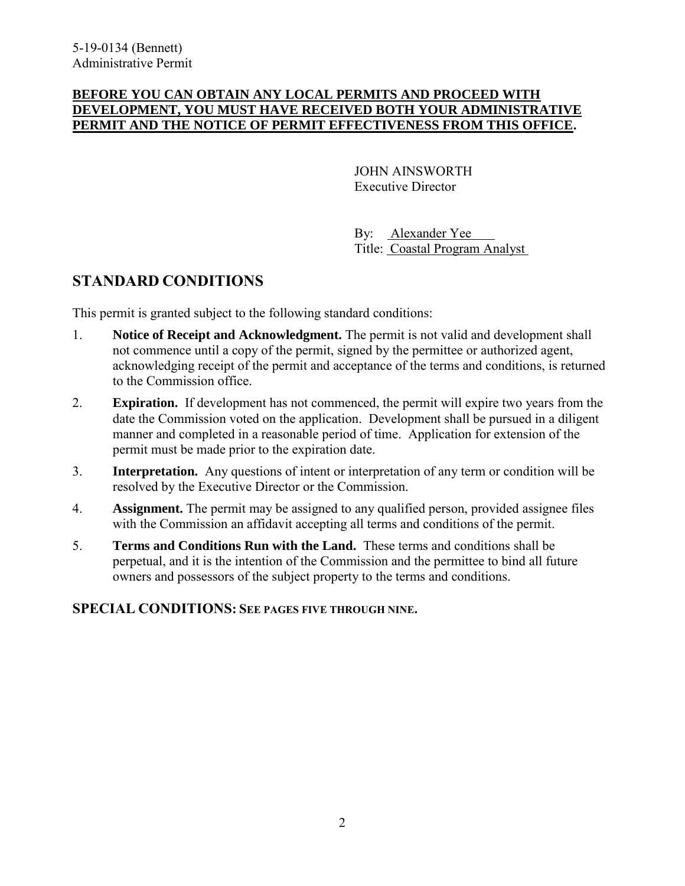#### **BEFORE YOU CAN OBTAIN ANY LOCAL PERMITS AND PROCEED WITH DEVELOPMENT, YOU MUST HAVE RECEIVED BOTH YOUR ADMINISTRATIVE PERMIT AND THE NOTICE OF PERMIT EFFECTIVENESS FROM THIS OFFICE.**

 JOHN AINSWORTH Executive Director

 By: Alexander Yee Title: Coastal Program Analyst

## **STANDARD CONDITIONS**

This permit is granted subject to the following standard conditions:

- 1. **Notice of Receipt and Acknowledgment.** The permit is not valid and development shall not commence until a copy of the permit, signed by the permittee or authorized agent, acknowledging receipt of the permit and acceptance of the terms and conditions, is returned to the Commission office.
- 2. **Expiration.** If development has not commenced, the permit will expire two years from the date the Commission voted on the application. Development shall be pursued in a diligent manner and completed in a reasonable period of time. Application for extension of the permit must be made prior to the expiration date.
- 3. **Interpretation.** Any questions of intent or interpretation of any term or condition will be resolved by the Executive Director or the Commission.
- 4. **Assignment.** The permit may be assigned to any qualified person, provided assignee files with the Commission an affidavit accepting all terms and conditions of the permit.
- 5. **Terms and Conditions Run with the Land.** These terms and conditions shall be perpetual, and it is the intention of the Commission and the permittee to bind all future owners and possessors of the subject property to the terms and conditions.

### **SPECIAL CONDITIONS: SEE PAGES FIVE THROUGH NINE.**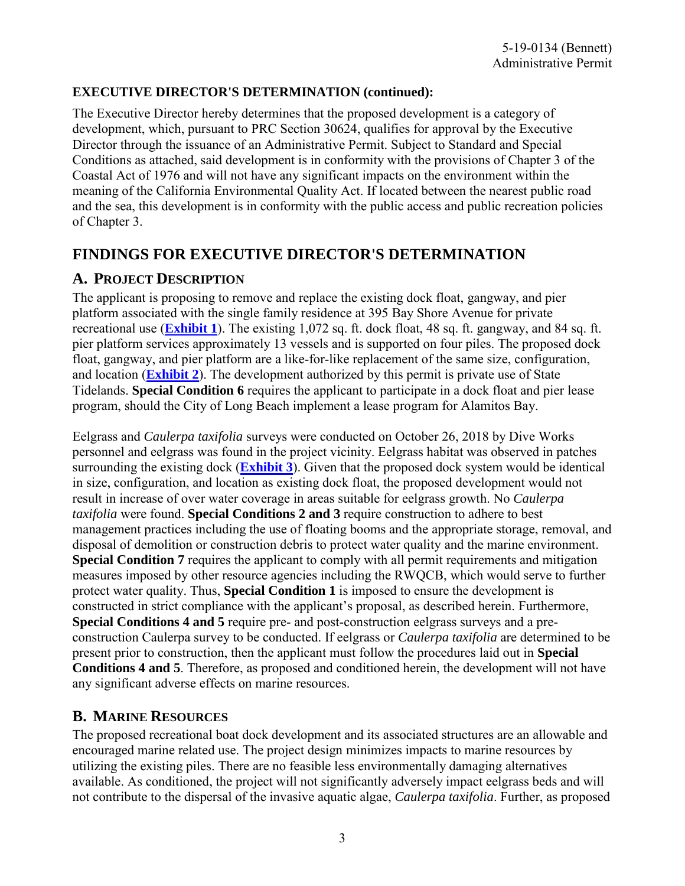### **EXECUTIVE DIRECTOR'S DETERMINATION (continued):**

The Executive Director hereby determines that the proposed development is a category of development, which, pursuant to PRC Section 30624, qualifies for approval by the Executive Director through the issuance of an Administrative Permit. Subject to Standard and Special Conditions as attached, said development is in conformity with the provisions of Chapter 3 of the Coastal Act of 1976 and will not have any significant impacts on the environment within the meaning of the California Environmental Quality Act. If located between the nearest public road and the sea, this development is in conformity with the public access and public recreation policies of Chapter 3.

# **FINDINGS FOR EXECUTIVE DIRECTOR'S DETERMINATION**

### **A. PROJECT DESCRIPTION**

The applicant is proposing to remove and replace the existing dock float, gangway, and pier platform associated with the single family residence at 395 Bay Shore Avenue for private recreational use (**[Exhibit 1](https://documents.coastal.ca.gov/reports/2019/7/W7b/W7b-7-2019-exhibits.pdf)**). The existing 1,072 sq. ft. dock float, 48 sq. ft. gangway, and 84 sq. ft. pier platform services approximately 13 vessels and is supported on four piles. The proposed dock float, gangway, and pier platform are a like-for-like replacement of the same size, configuration, and location (**[Exhibit 2](https://documents.coastal.ca.gov/reports/2019/7/W7b/W7b-7-2019-exhibits.pdf)**). The development authorized by this permit is private use of State Tidelands. **Special Condition 6** requires the applicant to participate in a dock float and pier lease program, should the City of Long Beach implement a lease program for Alamitos Bay.

Eelgrass and *Caulerpa taxifolia* surveys were conducted on October 26, 2018 by Dive Works personnel and eelgrass was found in the project vicinity. Eelgrass habitat was observed in patches surrounding the existing dock (**[Exhibit 3](https://documents.coastal.ca.gov/reports/2019/7/W7b/W7b-7-2019-exhibits.pdf)**). Given that the proposed dock system would be identical in size, configuration, and location as existing dock float, the proposed development would not result in increase of over water coverage in areas suitable for eelgrass growth. No *Caulerpa taxifolia* were found. **Special Conditions 2 and 3** require construction to adhere to best management practices including the use of floating booms and the appropriate storage, removal, and disposal of demolition or construction debris to protect water quality and the marine environment. **Special Condition 7** requires the applicant to comply with all permit requirements and mitigation measures imposed by other resource agencies including the RWQCB, which would serve to further protect water quality. Thus, **Special Condition 1** is imposed to ensure the development is constructed in strict compliance with the applicant's proposal, as described herein. Furthermore, **Special Conditions 4 and 5** require pre- and post-construction eelgrass surveys and a preconstruction Caulerpa survey to be conducted. If eelgrass or *Caulerpa taxifolia* are determined to be present prior to construction, then the applicant must follow the procedures laid out in **Special Conditions 4 and 5**. Therefore, as proposed and conditioned herein, the development will not have any significant adverse effects on marine resources.

## **B. MARINE RESOURCES**

The proposed recreational boat dock development and its associated structures are an allowable and encouraged marine related use. The project design minimizes impacts to marine resources by utilizing the existing piles. There are no feasible less environmentally damaging alternatives available. As conditioned, the project will not significantly adversely impact eelgrass beds and will not contribute to the dispersal of the invasive aquatic algae, *Caulerpa taxifolia*. Further, as proposed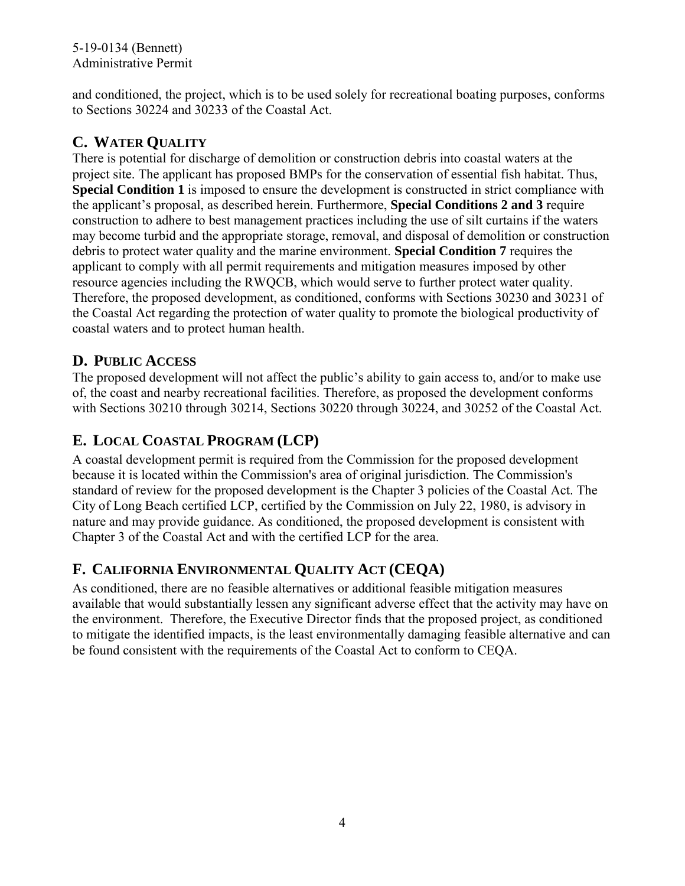and conditioned, the project, which is to be used solely for recreational boating purposes, conforms to Sections 30224 and 30233 of the Coastal Act.

# **C. WATER QUALITY**

There is potential for discharge of demolition or construction debris into coastal waters at the project site. The applicant has proposed BMPs for the conservation of essential fish habitat. Thus, **Special Condition 1** is imposed to ensure the development is constructed in strict compliance with the applicant's proposal, as described herein. Furthermore, **Special Conditions 2 and 3** require construction to adhere to best management practices including the use of silt curtains if the waters may become turbid and the appropriate storage, removal, and disposal of demolition or construction debris to protect water quality and the marine environment. **Special Condition 7** requires the applicant to comply with all permit requirements and mitigation measures imposed by other resource agencies including the RWQCB, which would serve to further protect water quality. Therefore, the proposed development, as conditioned, conforms with Sections 30230 and 30231 of the Coastal Act regarding the protection of water quality to promote the biological productivity of coastal waters and to protect human health.

## **D. PUBLIC ACCESS**

The proposed development will not affect the public's ability to gain access to, and/or to make use of, the coast and nearby recreational facilities. Therefore, as proposed the development conforms with Sections 30210 through 30214, Sections 30220 through 30224, and 30252 of the Coastal Act.

# **E. LOCAL COASTAL PROGRAM (LCP)**

A coastal development permit is required from the Commission for the proposed development because it is located within the Commission's area of original jurisdiction. The Commission's standard of review for the proposed development is the Chapter 3 policies of the Coastal Act. The City of Long Beach certified LCP, certified by the Commission on July 22, 1980, is advisory in nature and may provide guidance. As conditioned, the proposed development is consistent with Chapter 3 of the Coastal Act and with the certified LCP for the area.

# **F. CALIFORNIA ENVIRONMENTAL QUALITY ACT (CEQA)**

As conditioned, there are no feasible alternatives or additional feasible mitigation measures available that would substantially lessen any significant adverse effect that the activity may have on the environment. Therefore, the Executive Director finds that the proposed project, as conditioned to mitigate the identified impacts, is the least environmentally damaging feasible alternative and can be found consistent with the requirements of the Coastal Act to conform to CEQA.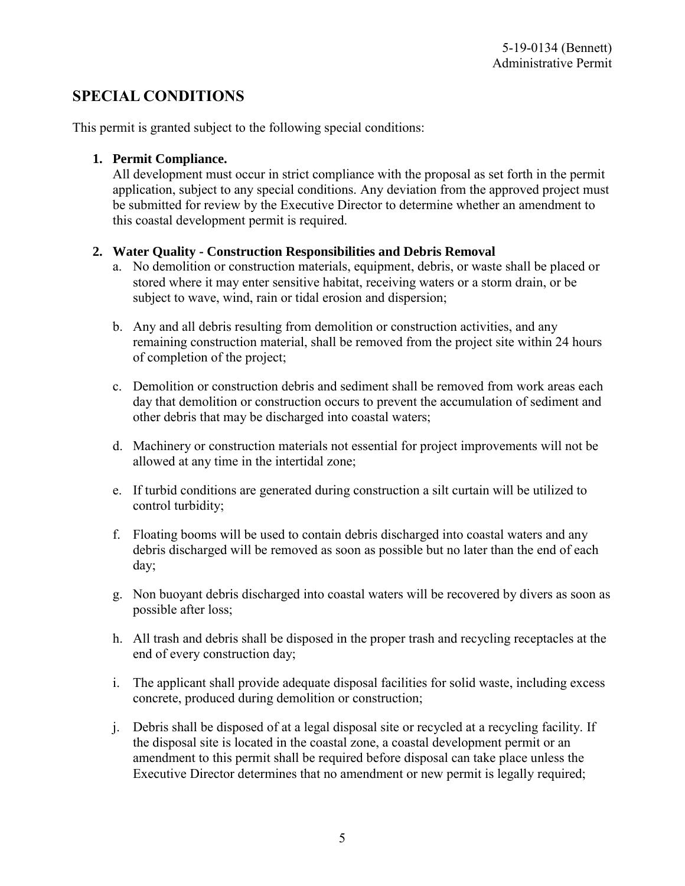## **SPECIAL CONDITIONS**

This permit is granted subject to the following special conditions:

### **1. Permit Compliance.**

All development must occur in strict compliance with the proposal as set forth in the permit application, subject to any special conditions. Any deviation from the approved project must be submitted for review by the Executive Director to determine whether an amendment to this coastal development permit is required.

### **2. Water Quality - Construction Responsibilities and Debris Removal**

- a. No demolition or construction materials, equipment, debris, or waste shall be placed or stored where it may enter sensitive habitat, receiving waters or a storm drain, or be subject to wave, wind, rain or tidal erosion and dispersion;
- b. Any and all debris resulting from demolition or construction activities, and any remaining construction material, shall be removed from the project site within 24 hours of completion of the project;
- c. Demolition or construction debris and sediment shall be removed from work areas each day that demolition or construction occurs to prevent the accumulation of sediment and other debris that may be discharged into coastal waters;
- d. Machinery or construction materials not essential for project improvements will not be allowed at any time in the intertidal zone;
- e. If turbid conditions are generated during construction a silt curtain will be utilized to control turbidity;
- f. Floating booms will be used to contain debris discharged into coastal waters and any debris discharged will be removed as soon as possible but no later than the end of each day;
- g. Non buoyant debris discharged into coastal waters will be recovered by divers as soon as possible after loss;
- h. All trash and debris shall be disposed in the proper trash and recycling receptacles at the end of every construction day;
- i. The applicant shall provide adequate disposal facilities for solid waste, including excess concrete, produced during demolition or construction;
- j. Debris shall be disposed of at a legal disposal site or recycled at a recycling facility. If the disposal site is located in the coastal zone, a coastal development permit or an amendment to this permit shall be required before disposal can take place unless the Executive Director determines that no amendment or new permit is legally required;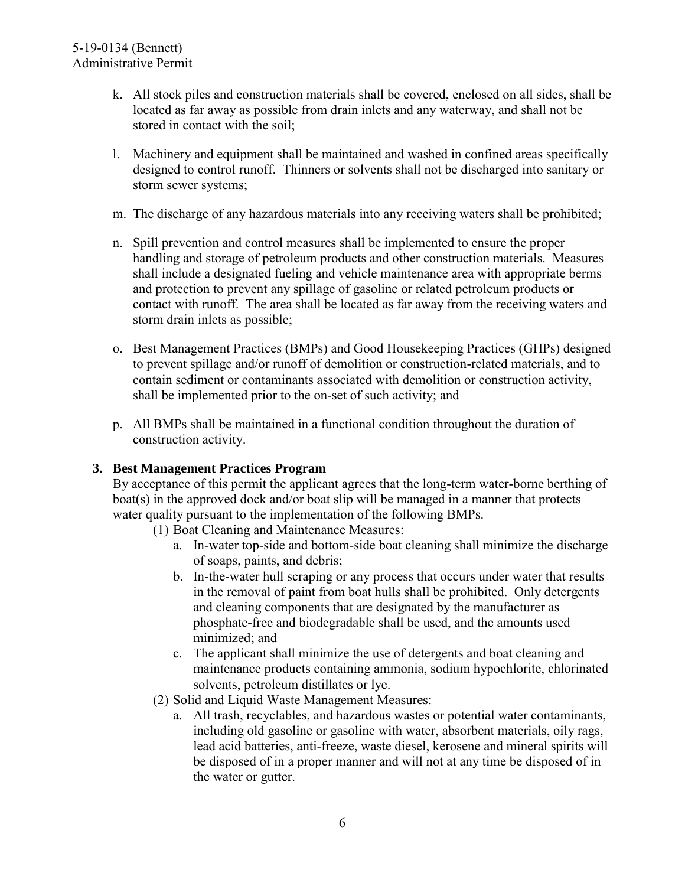- k. All stock piles and construction materials shall be covered, enclosed on all sides, shall be located as far away as possible from drain inlets and any waterway, and shall not be stored in contact with the soil;
- l. Machinery and equipment shall be maintained and washed in confined areas specifically designed to control runoff. Thinners or solvents shall not be discharged into sanitary or storm sewer systems;
- m. The discharge of any hazardous materials into any receiving waters shall be prohibited;
- n. Spill prevention and control measures shall be implemented to ensure the proper handling and storage of petroleum products and other construction materials. Measures shall include a designated fueling and vehicle maintenance area with appropriate berms and protection to prevent any spillage of gasoline or related petroleum products or contact with runoff. The area shall be located as far away from the receiving waters and storm drain inlets as possible;
- o. Best Management Practices (BMPs) and Good Housekeeping Practices (GHPs) designed to prevent spillage and/or runoff of demolition or construction-related materials, and to contain sediment or contaminants associated with demolition or construction activity, shall be implemented prior to the on-set of such activity; and
- p. All BMPs shall be maintained in a functional condition throughout the duration of construction activity.

### **3. Best Management Practices Program**

By acceptance of this permit the applicant agrees that the long-term water-borne berthing of boat(s) in the approved dock and/or boat slip will be managed in a manner that protects water quality pursuant to the implementation of the following BMPs.

- (1) Boat Cleaning and Maintenance Measures:
	- a. In-water top-side and bottom-side boat cleaning shall minimize the discharge of soaps, paints, and debris;
	- b. In-the-water hull scraping or any process that occurs under water that results in the removal of paint from boat hulls shall be prohibited. Only detergents and cleaning components that are designated by the manufacturer as phosphate-free and biodegradable shall be used, and the amounts used minimized; and
	- c. The applicant shall minimize the use of detergents and boat cleaning and maintenance products containing ammonia, sodium hypochlorite, chlorinated solvents, petroleum distillates or lye.
- (2) Solid and Liquid Waste Management Measures:
	- a. All trash, recyclables, and hazardous wastes or potential water contaminants, including old gasoline or gasoline with water, absorbent materials, oily rags, lead acid batteries, anti-freeze, waste diesel, kerosene and mineral spirits will be disposed of in a proper manner and will not at any time be disposed of in the water or gutter.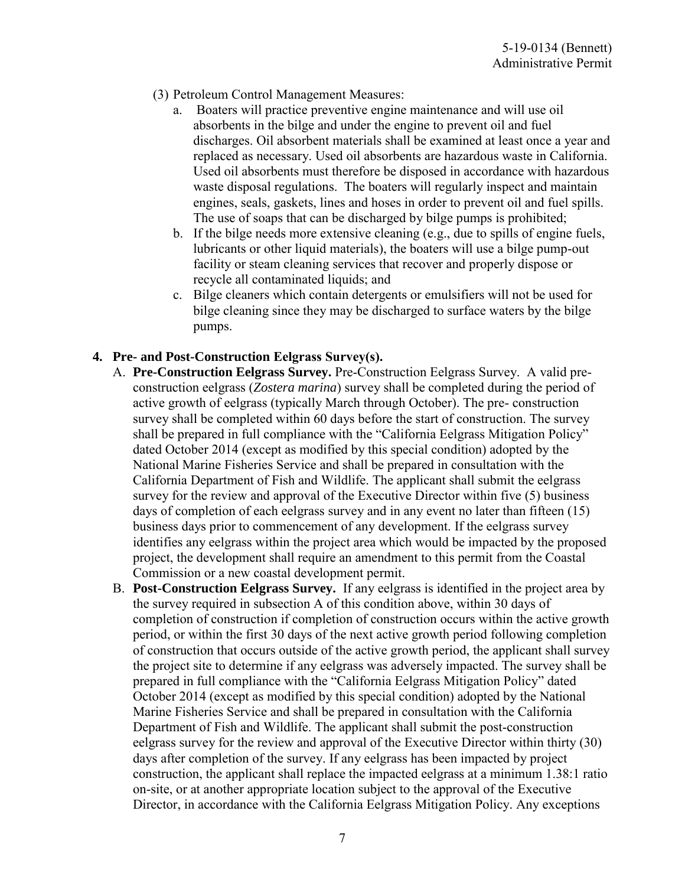- (3) Petroleum Control Management Measures:
	- a. Boaters will practice preventive engine maintenance and will use oil absorbents in the bilge and under the engine to prevent oil and fuel discharges. Oil absorbent materials shall be examined at least once a year and replaced as necessary. Used oil absorbents are hazardous waste in California. Used oil absorbents must therefore be disposed in accordance with hazardous waste disposal regulations. The boaters will regularly inspect and maintain engines, seals, gaskets, lines and hoses in order to prevent oil and fuel spills. The use of soaps that can be discharged by bilge pumps is prohibited;
	- b. If the bilge needs more extensive cleaning  $(e.g., due to spills of engine fuels,$ lubricants or other liquid materials), the boaters will use a bilge pump-out facility or steam cleaning services that recover and properly dispose or recycle all contaminated liquids; and
	- c. Bilge cleaners which contain detergents or emulsifiers will not be used for bilge cleaning since they may be discharged to surface waters by the bilge pumps.

### **4. Pre- and Post-Construction Eelgrass Survey(s).**

- A. **Pre-Construction Eelgrass Survey.** Pre-Construction Eelgrass Survey. A valid preconstruction eelgrass (*Zostera marina*) survey shall be completed during the period of active growth of eelgrass (typically March through October). The pre- construction survey shall be completed within 60 days before the start of construction. The survey shall be prepared in full compliance with the "California Eelgrass Mitigation Policy" dated October 2014 (except as modified by this special condition) adopted by the National Marine Fisheries Service and shall be prepared in consultation with the California Department of Fish and Wildlife. The applicant shall submit the eelgrass survey for the review and approval of the Executive Director within five (5) business days of completion of each eelgrass survey and in any event no later than fifteen (15) business days prior to commencement of any development. If the eelgrass survey identifies any eelgrass within the project area which would be impacted by the proposed project, the development shall require an amendment to this permit from the Coastal Commission or a new coastal development permit.
- B. **Post-Construction Eelgrass Survey.** If any eelgrass is identified in the project area by the survey required in subsection A of this condition above, within 30 days of completion of construction if completion of construction occurs within the active growth period, or within the first 30 days of the next active growth period following completion of construction that occurs outside of the active growth period, the applicant shall survey the project site to determine if any eelgrass was adversely impacted. The survey shall be prepared in full compliance with the "California Eelgrass Mitigation Policy" dated October 2014 (except as modified by this special condition) adopted by the National Marine Fisheries Service and shall be prepared in consultation with the California Department of Fish and Wildlife. The applicant shall submit the post-construction eelgrass survey for the review and approval of the Executive Director within thirty (30) days after completion of the survey. If any eelgrass has been impacted by project construction, the applicant shall replace the impacted eelgrass at a minimum 1.38:1 ratio on-site, or at another appropriate location subject to the approval of the Executive Director, in accordance with the California Eelgrass Mitigation Policy. Any exceptions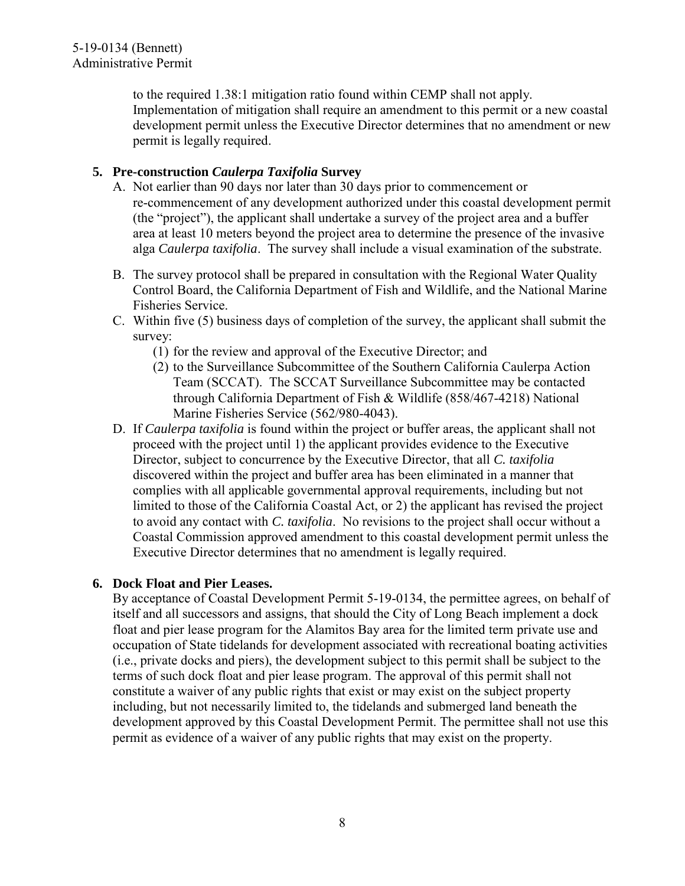to the required 1.38:1 mitigation ratio found within CEMP shall not apply. Implementation of mitigation shall require an amendment to this permit or a new coastal development permit unless the Executive Director determines that no amendment or new permit is legally required.

### **5. Pre-construction** *Caulerpa Taxifolia* **Survey**

- A. Not earlier than 90 days nor later than 30 days prior to commencement or re-commencement of any development authorized under this coastal development permit (the "project"), the applicant shall undertake a survey of the project area and a buffer area at least 10 meters beyond the project area to determine the presence of the invasive alga *Caulerpa taxifolia*. The survey shall include a visual examination of the substrate.
- B. The survey protocol shall be prepared in consultation with the Regional Water Quality Control Board, the California Department of Fish and Wildlife, and the National Marine Fisheries Service.
- C. Within five (5) business days of completion of the survey, the applicant shall submit the survey:
	- (1) for the review and approval of the Executive Director; and
	- (2) to the Surveillance Subcommittee of the Southern California Caulerpa Action Team (SCCAT). The SCCAT Surveillance Subcommittee may be contacted through California Department of Fish & Wildlife (858/467-4218) National Marine Fisheries Service (562/980-4043).
- D. If *Caulerpa taxifolia* is found within the project or buffer areas, the applicant shall not proceed with the project until 1) the applicant provides evidence to the Executive Director, subject to concurrence by the Executive Director, that all *C. taxifolia* discovered within the project and buffer area has been eliminated in a manner that complies with all applicable governmental approval requirements, including but not limited to those of the California Coastal Act, or 2) the applicant has revised the project to avoid any contact with *C. taxifolia*. No revisions to the project shall occur without a Coastal Commission approved amendment to this coastal development permit unless the Executive Director determines that no amendment is legally required.

### **6. Dock Float and Pier Leases.**

By acceptance of Coastal Development Permit 5-19-0134, the permittee agrees, on behalf of itself and all successors and assigns, that should the City of Long Beach implement a dock float and pier lease program for the Alamitos Bay area for the limited term private use and occupation of State tidelands for development associated with recreational boating activities (i.e., private docks and piers), the development subject to this permit shall be subject to the terms of such dock float and pier lease program. The approval of this permit shall not constitute a waiver of any public rights that exist or may exist on the subject property including, but not necessarily limited to, the tidelands and submerged land beneath the development approved by this Coastal Development Permit. The permittee shall not use this permit as evidence of a waiver of any public rights that may exist on the property.